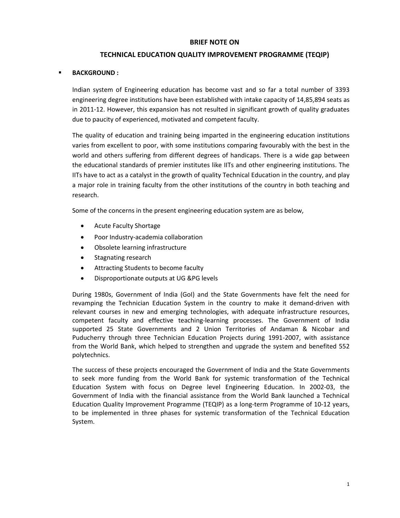#### **BRIEF NOTE ON**

# **TECHNICAL EDUCATION QUALITY IMPROVEMENT PROGRAMME (TEQIP)**

### **BACKGROUND :**

Indian system of Engineering education has become vast and so far a total number of 3393 engineering degree institutions have been established with intake capacity of 14,85,894 seats as in 2011-12. However, this expansion has not resulted in significant growth of quality graduates due to paucity of experienced, motivated and competent faculty.

The quality of education and training being imparted in the engineering education institutions varies from excellent to poor, with some institutions comparing favourably with the best in the world and others suffering from different degrees of handicaps. There is a wide gap between the educational standards of premier institutes like IITs and other engineering institutions. The IITs have to act as a catalyst in the growth of quality Technical Education in the country, and play a major role in training faculty from the other institutions of the country in both teaching and research.

Some of the concerns in the present engineering education system are as below,

- Acute Faculty Shortage
- Poor Industry‐academia collaboration
- Obsolete learning infrastructure
- Stagnating research
- Attracting Students to become faculty
- Disproportionate outputs at UG &PG levels

During 1980s, Government of India (GoI) and the State Governments have felt the need for revamping the Technician Education System in the country to make it demand‐driven with relevant courses in new and emerging technologies, with adequate infrastructure resources, competent faculty and effective teaching‐learning processes. The Government of India supported 25 State Governments and 2 Union Territories of Andaman & Nicobar and Puducherry through three Technician Education Projects during 1991-2007, with assistance from the World Bank, which helped to strengthen and upgrade the system and benefited 552 polytechnics.

The success of these projects encouraged the Government of India and the State Governments to seek more funding from the World Bank for systemic transformation of the Technical Education System with focus on Degree level Engineering Education. In 2002‐03, the Government of India with the financial assistance from the World Bank launched a Technical Education Quality Improvement Programme (TEQIP) as a long-term Programme of 10-12 years, to be implemented in three phases for systemic transformation of the Technical Education System.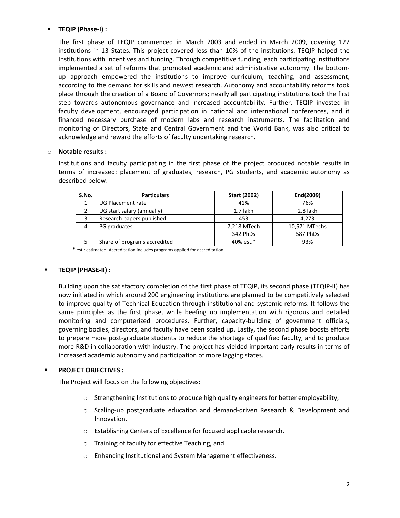# **TEQIP (Phase‐I) :**

The first phase of TEQIP commenced in March 2003 and ended in March 2009, covering 127 institutions in 13 States. This project covered less than 10% of the institutions. TEQIP helped the Institutions with incentives and funding. Through competitive funding, each participating institutions implemented a set of reforms that promoted academic and administrative autonomy. The bottom‐ up approach empowered the institutions to improve curriculum, teaching, and assessment, according to the demand for skills and newest research. Autonomy and accountability reforms took place through the creation of a Board of Governors; nearly all participating institutions took the first step towards autonomous governance and increased accountability. Further, TEQIP invested in faculty development, encouraged participation in national and international conferences, and it financed necessary purchase of modern labs and research instruments. The facilitation and monitoring of Directors, State and Central Government and the World Bank, was also critical to acknowledge and reward the efforts of faculty undertaking research.

#### o **Notable results :**

Institutions and faculty participating in the first phase of the project produced notable results in terms of increased: placement of graduates, research, PG students, and academic autonomy as described below:

| S.No. | <b>Particulars</b>           | <b>Start (2002)</b> | End(2009)     |
|-------|------------------------------|---------------------|---------------|
|       | UG Placement rate            | 41%                 | 76%           |
|       | UG start salary (annually)   | $1.7$ lakh          | 2.8 lakh      |
| 3     | Research papers published    | 453                 | 4.273         |
| 4     | PG graduates                 | 7,218 MTech         | 10,571 MTechs |
|       |                              | 342 PhDs            | 587 PhDs      |
|       | Share of programs accredited | 40% est.*           | 93%           |

 **\*** est.: estimated. Accreditation includes programs applied for accreditation

### **TEQIP (PHASE‐II) :**

Building upon the satisfactory completion of the first phase of TEQIP, its second phase (TEQIP‐II) has now initiated in which around 200 engineering institutions are planned to be competitively selected to improve quality of Technical Education through institutional and systemic reforms. It follows the same principles as the first phase, while beefing up implementation with rigorous and detailed monitoring and computerized procedures. Further, capacity‐building of government officials, governing bodies, directors, and faculty have been scaled up. Lastly, the second phase boosts efforts to prepare more post‐graduate students to reduce the shortage of qualified faculty, and to produce more R&D in collaboration with industry. The project has yielded important early results in terms of increased academic autonomy and participation of more lagging states.

### **PROJECT OBJECTIVES :**

The Project will focus on the following objectives:

- o Strengthening Institutions to produce high quality engineers for better employability,
- o Scaling‐up postgraduate education and demand‐driven Research & Development and Innovation,
- o Establishing Centers of Excellence for focused applicable research,
- o Training of faculty for effective Teaching, and
- o Enhancing Institutional and System Management effectiveness.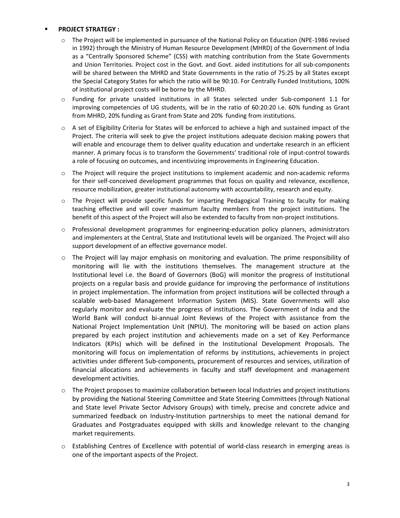### **PROJECT STRATEGY :**

- o The Project will be implemented in pursuance of the National Policy on Education (NPE‐1986 revised in 1992) through the Ministry of Human Resource Development (MHRD) of the Government of India as a "Centrally Sponsored Scheme" (CSS) with matching contribution from the State Governments and Union Territories. Project cost in the Govt. and Govt. aided institutions for all sub‐components will be shared between the MHRD and State Governments in the ratio of 75:25 by all States except the Special Category States for which the ratio will be 90:10. For Centrally Funded Institutions, 100% of institutional project costs will be borne by the MHRD.
- o Funding for private unaided institutions in all States selected under Sub‐component 1.1 for improving competencies of UG students, will be in the ratio of 60:20:20 i.e. 60% funding as Grant from MHRD, 20% funding as Grant from State and 20% funding from institutions.
- o A set of Eligibility Criteria for States will be enforced to achieve a high and sustained impact of the Project. The criteria will seek to give the project institutions adequate decision making powers that will enable and encourage them to deliver quality education and undertake research in an efficient manner. A primary focus is to transform the Governments' traditional role of input‐control towards a role of focusing on outcomes, and incentivizing improvements in Engineering Education.
- o The Project will require the project institutions to implement academic and non‐academic reforms for their self-conceived development programmes that focus on quality and relevance, excellence, resource mobilization, greater institutional autonomy with accountability, research and equity.
- o The Project will provide specific funds for imparting Pedagogical Training to faculty for making teaching effective and will cover maximum faculty members from the project institutions. The benefit of this aspect of the Project will also be extended to faculty from non-project institutions.
- o Professional development programmes for engineering‐education policy planners, administrators and implementers at the Central, State and Institutional levels will be organized. The Project will also support development of an effective governance model.
- o The Project will lay major emphasis on monitoring and evaluation. The prime responsibility of monitoring will lie with the institutions themselves. The management structure at the Institutional level i.e. the Board of Governors (BoG) will monitor the progress of Institutional projects on a regular basis and provide guidance for improving the performance of institutions in project implementation. The information from project institutions will be collected through a scalable web‐based Management Information System (MIS). State Governments will also regularly monitor and evaluate the progress of institutions. The Government of India and the World Bank will conduct bi-annual Joint Reviews of the Project with assistance from the National Project Implementation Unit (NPIU). The monitoring will be based on action plans prepared by each project institution and achievements made on a set of Key Performance Indicators (KPIs) which will be defined in the Institutional Development Proposals. The monitoring will focus on implementation of reforms by institutions, achievements in project activities under different Sub‐components, procurement of resources and services, utilization of financial allocations and achievements in faculty and staff development and management development activities.
- o The Project proposes to maximize collaboration between local Industries and project institutions by providing the National Steering Committee and State Steering Committees (through National and State level Private Sector Advisory Groups) with timely, precise and concrete advice and summarized feedback on Industry‐Institution partnerships to meet the national demand for Graduates and Postgraduates equipped with skills and knowledge relevant to the changing market requirements.
- o Establishing Centres of Excellence with potential of world‐class research in emerging areas is one of the important aspects of the Project.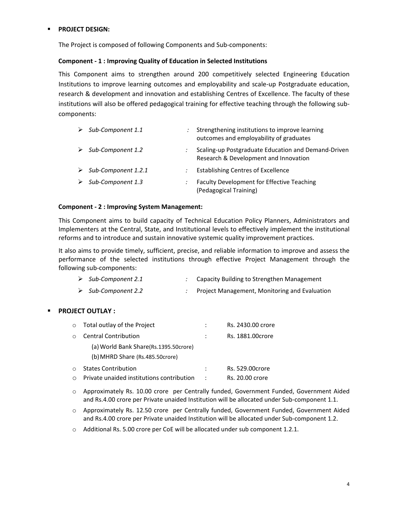### **PROJECT DESIGN:**

The Project is composed of following Components and Sub‐components:

### **Component ‐ 1 : Improving Quality of Education in Selected Institutions**

This Component aims to strengthen around 200 competitively selected Engineering Education Institutions to improve learning outcomes and employability and scale‐up Postgraduate education, research & development and innovation and establishing Centres of Excellence. The faculty of these institutions will also be offered pedagogical training for effective teaching through the following sub‐ components:

| Sub-Component 1.1   | Strengthening institutions to improve learning<br>outcomes and employability of graduates    |
|---------------------|----------------------------------------------------------------------------------------------|
| Sub-Component 1.2   | Scaling-up Postgraduate Education and Demand-Driven<br>Research & Development and Innovation |
| Sub-Component 1.2.1 | <b>Establishing Centres of Excellence</b>                                                    |
| Sub-Component 1.3   | Faculty Development for Effective Teaching<br>(Pedagogical Training)                         |

#### **Component ‐ 2 : Improving System Management:**

This Component aims to build capacity of Technical Education Policy Planners, Administrators and Implementers at the Central, State, and Institutional levels to effectively implement the institutional reforms and to introduce and sustain innovative systemic quality improvement practices.

It also aims to provide timely, sufficient, precise, and reliable information to improve and assess the performance of the selected institutions through effective Project Management through the following sub‐components:

| $\triangleright$ Sub-Component 2.1 | Capacity Building to Strengthen Management |
|------------------------------------|--------------------------------------------|
|                                    |                                            |

### ¾ *Sub‐Component 2.2 :* Project Management, Monitoring and Evaluation

### **PROJECT OUTLAY :**

| $\circ$ | Total outlay of the Project               |   | Rs. 2430.00 crore |
|---------|-------------------------------------------|---|-------------------|
| $\cap$  | <b>Central Contribution</b>               |   | Rs. 1881.00crore  |
|         | (a) World Bank Share(Rs.1395.50crore)     |   |                   |
|         | (b) MHRD Share (Rs.485.50crore)           |   |                   |
| $\cap$  | <b>States Contribution</b>                | ÷ | Rs. 529.00crore   |
|         | Private unaided institutions contribution | ÷ | Rs. 20.00 crore   |

- o Approximately Rs. 10.00 crore per Centrally funded, Government Funded, Government Aided and Rs.4.00 crore per Private unaided Institution will be allocated under Sub-component 1.1.
- o Approximately Rs. 12.50 crore per Centrally funded, Government Funded, Government Aided and Rs.4.00 crore per Private unaided Institution will be allocated under Sub-component 1.2.
- $\circ$  Additional Rs. 5.00 crore per CoE will be allocated under sub component 1.2.1.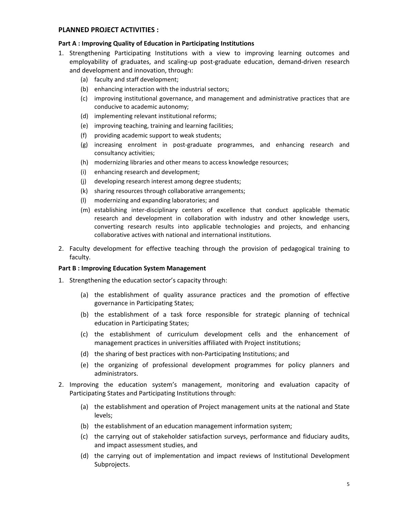#### **PLANNED PROJECT ACTIVITIES :**

#### **Part A : Improving Quality of Education in Participating Institutions**

- 1. Strengthening Participating Institutions with a view to improving learning outcomes and employability of graduates, and scaling‐up post‐graduate education, demand‐driven research and development and innovation, through:
	- (a) faculty and staff development;
	- (b) enhancing interaction with the industrial sectors;
	- (c) improving institutional governance, and management and administrative practices that are conducive to academic autonomy;
	- (d) implementing relevant institutional reforms;
	- (e) improving teaching, training and learning facilities;
	- (f) providing academic support to weak students;
	- (g) increasing enrolment in post‐graduate programmes, and enhancing research and consultancy activities;
	- (h) modernizing libraries and other means to access knowledge resources;
	- (i) enhancing research and development;
	- (j) developing research interest among degree students;
	- (k) sharing resources through collaborative arrangements;
	- (l) modernizing and expanding laboratories; and
	- (m) establishing inter‐disciplinary centers of excellence that conduct applicable thematic research and development in collaboration with industry and other knowledge users, converting research results into applicable technologies and projects, and enhancing collaborative actives with national and international institutions.
- 2. Faculty development for effective teaching through the provision of pedagogical training to faculty.

### **Part B : Improving Education System Management**

- 1. Strengthening the education sector's capacity through:
	- (a) the establishment of quality assurance practices and the promotion of effective governance in Participating States;
	- (b) the establishment of a task force responsible for strategic planning of technical education in Participating States;
	- (c) the establishment of curriculum development cells and the enhancement of management practices in universities affiliated with Project institutions;
	- (d) the sharing of best practices with non‐Participating Institutions; and
	- (e) the organizing of professional development programmes for policy planners and administrators.
- 2. Improving the education system's management, monitoring and evaluation capacity of Participating States and Participating Institutions through:
	- (a) the establishment and operation of Project management units at the national and State levels;
	- (b) the establishment of an education management information system;
	- (c) the carrying out of stakeholder satisfaction surveys, performance and fiduciary audits, and impact assessment studies, and
	- (d) the carrying out of implementation and impact reviews of Institutional Development Subprojects.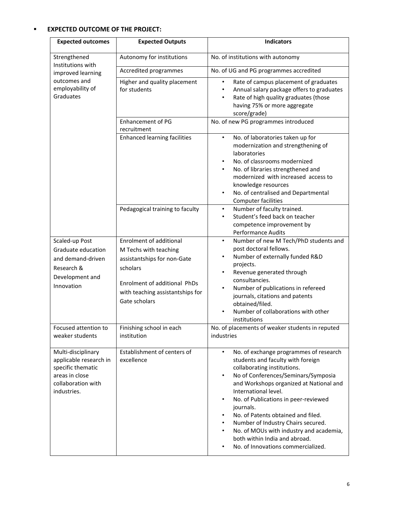# **EXPECTED OUTCOME OF THE PROJECT:**

| <b>Expected outcomes</b>                                                                                                 | <b>Expected Outputs</b>                                                                                                                                                                 | <b>Indicators</b>                                                                                                                                                                                                                                                                                                                                                                                                                                                                                                                                                  |
|--------------------------------------------------------------------------------------------------------------------------|-----------------------------------------------------------------------------------------------------------------------------------------------------------------------------------------|--------------------------------------------------------------------------------------------------------------------------------------------------------------------------------------------------------------------------------------------------------------------------------------------------------------------------------------------------------------------------------------------------------------------------------------------------------------------------------------------------------------------------------------------------------------------|
| Strengthened<br>Institutions with                                                                                        | Autonomy for institutions                                                                                                                                                               | No. of institutions with autonomy                                                                                                                                                                                                                                                                                                                                                                                                                                                                                                                                  |
| improved learning                                                                                                        | Accredited programmes                                                                                                                                                                   | No. of UG and PG programmes accredited                                                                                                                                                                                                                                                                                                                                                                                                                                                                                                                             |
| outcomes and<br>employability of<br>Graduates                                                                            | Higher and quality placement<br>for students                                                                                                                                            | Rate of campus placement of graduates<br>$\bullet$<br>Annual salary package offers to graduates<br>$\bullet$<br>Rate of high quality graduates (those<br>$\bullet$<br>having 75% or more aggregate<br>score/grade)                                                                                                                                                                                                                                                                                                                                                 |
|                                                                                                                          | <b>Enhancement of PG</b><br>recruitment                                                                                                                                                 | No. of new PG programmes introduced                                                                                                                                                                                                                                                                                                                                                                                                                                                                                                                                |
|                                                                                                                          | <b>Enhanced learning facilities</b>                                                                                                                                                     | No. of laboratories taken up for<br>$\bullet$<br>modernization and strengthening of<br>laboratories<br>No. of classrooms modernized<br>$\bullet$<br>No. of libraries strengthened and<br>$\bullet$<br>modernized with increased access to<br>knowledge resources<br>No. of centralised and Departmental<br>$\bullet$<br><b>Computer facilities</b>                                                                                                                                                                                                                 |
|                                                                                                                          | Pedagogical training to faculty                                                                                                                                                         | Number of faculty trained.<br>$\bullet$<br>Student's feed back on teacher<br>$\bullet$<br>competence improvement by<br>Performance Audits                                                                                                                                                                                                                                                                                                                                                                                                                          |
| Scaled-up Post<br>Graduate education<br>and demand-driven<br>Research &<br>Development and<br>Innovation                 | <b>Enrolment of additional</b><br>M Techs with teaching<br>assistantships for non-Gate<br>scholars<br>Enrolment of additional PhDs<br>with teaching assistantships for<br>Gate scholars | Number of new M Tech/PhD students and<br>$\bullet$<br>post doctoral fellows.<br>Number of externally funded R&D<br>$\bullet$<br>projects.<br>Revenue generated through<br>$\bullet$<br>consultancies.<br>Number of publications in refereed<br>$\bullet$<br>journals, citations and patents<br>obtained/filed.<br>Number of collaborations with other<br>$\bullet$<br>institutions                                                                                                                                                                                 |
| Focused attention to<br>weaker students                                                                                  | Finishing school in each<br>institution                                                                                                                                                 | No. of placements of weaker students in reputed<br>industries                                                                                                                                                                                                                                                                                                                                                                                                                                                                                                      |
| Multi-disciplinary<br>applicable research in<br>specific thematic<br>areas in close<br>collaboration with<br>industries. | Establishment of centers of<br>excellence                                                                                                                                               | No. of exchange programmes of research<br>$\bullet$<br>students and faculty with foreign<br>collaborating institutions.<br>No of Conferences/Seminars/Symposia<br>$\bullet$<br>and Workshops organized at National and<br>International level.<br>No. of Publications in peer-reviewed<br>$\bullet$<br>journals.<br>No. of Patents obtained and filed.<br>$\bullet$<br>Number of Industry Chairs secured.<br>$\bullet$<br>No. of MOUs with industry and academia,<br>$\bullet$<br>both within India and abroad.<br>No. of Innovations commercialized.<br>$\bullet$ |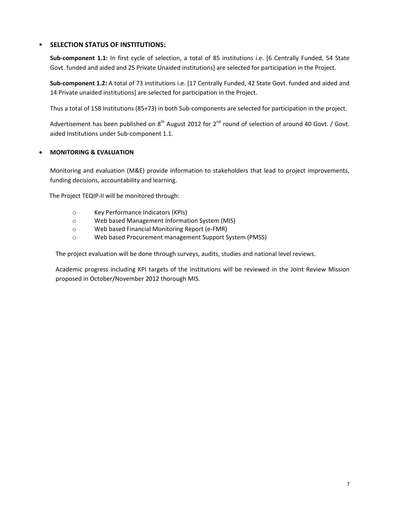### **SELECTION STATUS OF INSTITUTIONS:**

**Sub‐component 1.1:** In first cycle of selection, a total of 85 institutions i.e. [6 Centrally Funded, 54 State Govt. funded and aided and 25 Private Unaided institutions] are selected for participation in the Project.

**Sub‐component 1.2:** A total of 73 institutions i.e. [17 Centrally Funded, 42 State Govt. funded and aided and 14 Private unaided institutions] are selected for participation in the Project.

Thus a total of 158 Institutions (85+73) in both Sub‐components are selected for participation in the project.

Advertisement has been published on  $8<sup>th</sup>$  August 2012 for  $2<sup>nd</sup>$  round of selection of around 40 Govt. / Govt. aided Institutions under Sub‐component 1.1.

### • **MONITORING & EVALUATION**

Monitoring and evaluation (M&E) provide information to stakeholders that lead to project improvements, funding decisions, accountability and learning.

The Project TEQIP‐II will be monitored through:

- o Key Performance Indicators (KPIs)
- o Web based Management Information System (MIS)
- o Web based Financial Monitoring Report (e‐FMR)
- o Web based Procurement management Support System (PMSS)

The project evaluation will be done through surveys, audits, studies and national level reviews.

Academic progress including KPI targets of the institutions will be reviewed in the Joint Review Mission proposed in October/November 2012 thorough MIS.